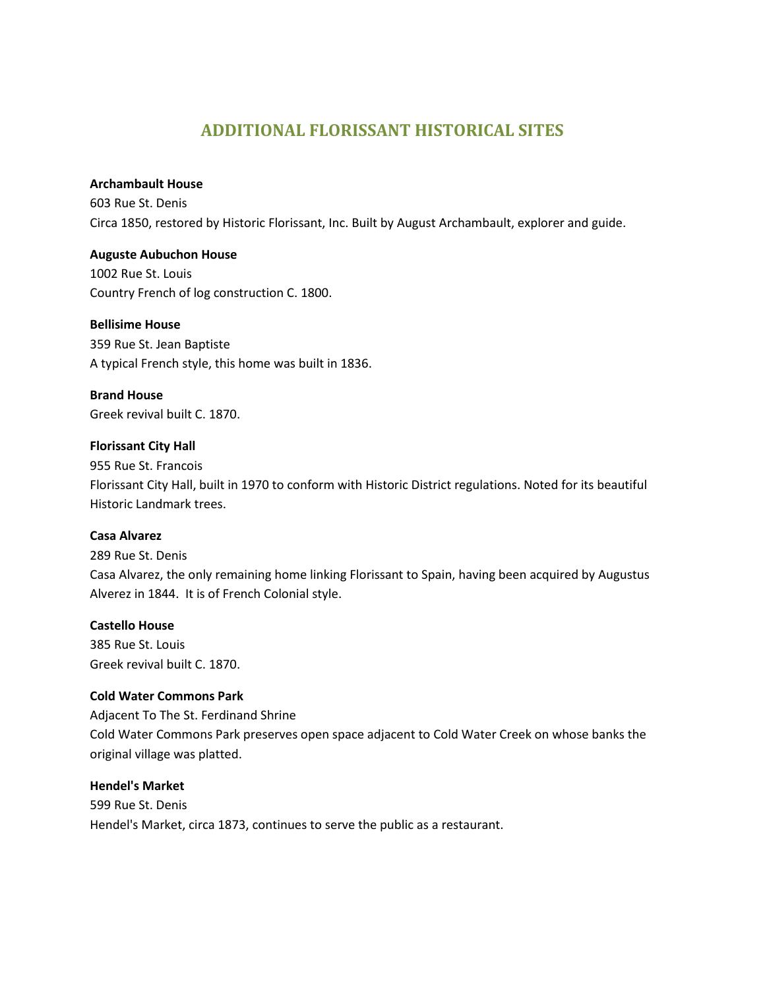# **ADDITIONAL FLORISSANT HISTORICAL SITES**

### **Archambault House**

603 Rue St. Denis Circa 1850, restored by Historic Florissant, Inc. Built by August Archambault, explorer and guide.

### **Auguste Aubuchon House**

1002 Rue St. Louis Country French of log construction C. 1800.

## **Bellisime House**

359 Rue St. Jean Baptiste A typical French style, this home was built in 1836.

### **Brand House**

Greek revival built C. 1870.

## **Florissant City Hall**

955 Rue St. Francois Florissant City Hall, built in 1970 to conform with Historic District regulations. Noted for its beautiful Historic Landmark trees.

### **Casa Alvarez**

289 Rue St. Denis Casa Alvarez, the only remaining home linking Florissant to Spain, having been acquired by Augustus Alverez in 1844. It is of French Colonial style.

## **Castello House**

385 Rue St. Louis Greek revival built C. 1870.

### **Cold Water Commons Park**

Adjacent To The St. Ferdinand Shrine Cold Water Commons Park preserves open space adjacent to Cold Water Creek on whose banks the original village was platted.

### **Hendel's Market**

599 Rue St. Denis Hendel's Market, circa 1873, continues to serve the public as a restaurant.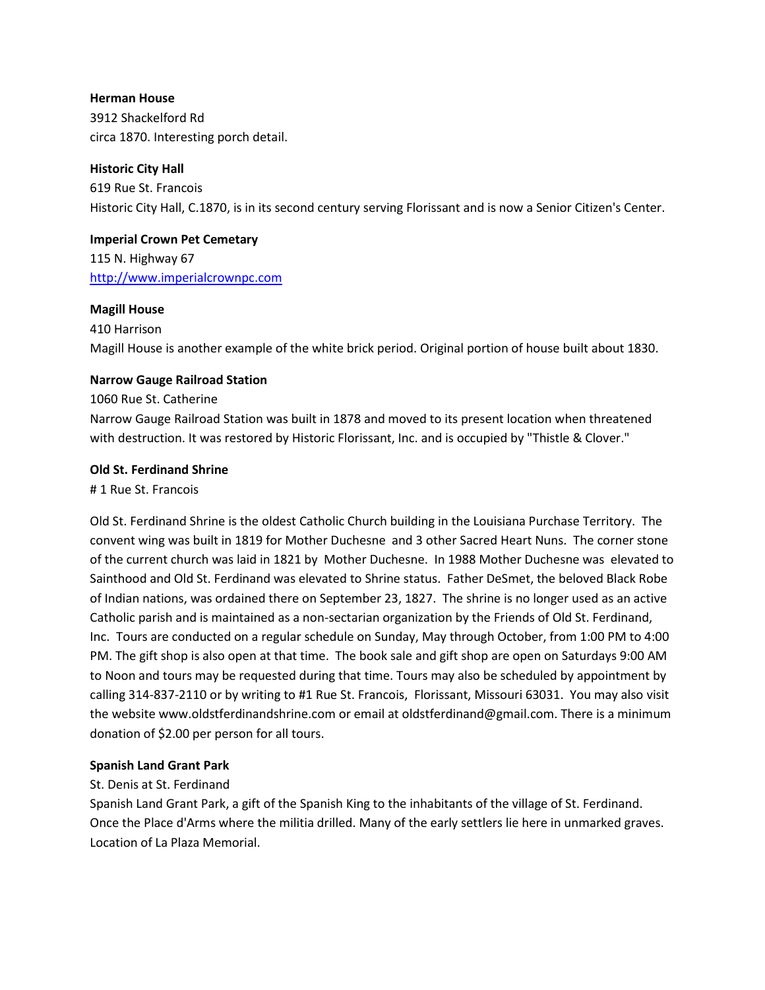### **Herman House**

3912 Shackelford Rd circa 1870. Interesting porch detail.

## **Historic City Hall**

619 Rue St. Francois Historic City Hall, C.1870, is in its second century serving Florissant and is now a Senior Citizen's Center.

## **Imperial Crown Pet Cemetary**

115 N. Highway 67 [http://www.imperialcrownpc.com](http://www.imperialcrownpc.com/)

### **Magill House**

### 410 Harrison

Magill House is another example of the white brick period. Original portion of house built about 1830.

### **Narrow Gauge Railroad Station**

### 1060 Rue St. Catherine

Narrow Gauge Railroad Station was built in 1878 and moved to its present location when threatened with destruction. It was restored by Historic Florissant, Inc. and is occupied by "Thistle & Clover."

### **Old St. Ferdinand Shrine**

# 1 Rue St. Francois

Old St. Ferdinand Shrine is the oldest Catholic Church building in the Louisiana Purchase Territory. The convent wing was built in 1819 for Mother Duchesne and 3 other Sacred Heart Nuns. The corner stone of the current church was laid in 1821 by Mother Duchesne. In 1988 Mother Duchesne was elevated to Sainthood and Old St. Ferdinand was elevated to Shrine status. Father DeSmet, the beloved Black Robe of Indian nations, was ordained there on September 23, 1827. The shrine is no longer used as an active Catholic parish and is maintained as a non-sectarian organization by the Friends of Old St. Ferdinand, Inc. Tours are conducted on a regular schedule on Sunday, May through October, from 1:00 PM to 4:00 PM. The gift shop is also open at that time. The book sale and gift shop are open on Saturdays 9:00 AM to Noon and tours may be requested during that time. Tours may also be scheduled by appointment by calling 314-837-2110 or by writing to #1 Rue St. Francois, Florissant, Missouri 63031. You may also visit the website www.oldstferdinandshrine.com or email at oldstferdinand@gmail.com. There is a minimum donation of \$2.00 per person for all tours.

### **Spanish Land Grant Park**

### St. Denis at St. Ferdinand

Spanish Land Grant Park, a gift of the Spanish King to the inhabitants of the village of St. Ferdinand. Once the Place d'Arms where the militia drilled. Many of the early settlers lie here in unmarked graves. Location of La Plaza Memorial.